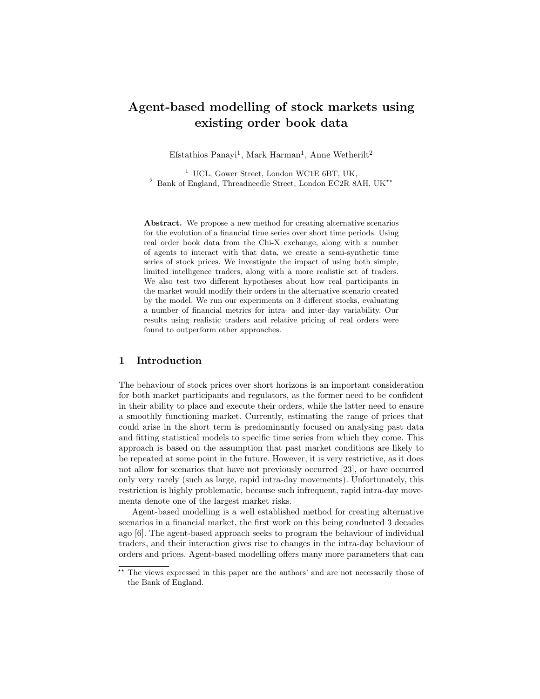# Agent-based modelling of stock markets using existing order book data

Efstathios Panayi<sup>1</sup>, Mark Harman<sup>1</sup>, Anne Wetherilt<sup>2</sup>

<sup>1</sup> UCL, Gower Street, London WC1E 6BT, UK,  $^2$  Bank of England, Threadneedle Street, London EC2R 8AH, UK<sup>\*\*</sup>

Abstract. We propose a new method for creating alternative scenarios for the evolution of a financial time series over short time periods. Using real order book data from the Chi-X exchange, along with a number of agents to interact with that data, we create a semi-synthetic time series of stock prices. We investigate the impact of using both simple, limited intelligence traders, along with a more realistic set of traders. We also test two different hypotheses about how real participants in the market would modify their orders in the alternative scenario created by the model. We run our experiments on 3 different stocks, evaluating a number of financial metrics for intra- and inter-day variability. Our results using realistic traders and relative pricing of real orders were found to outperform other approaches.

## 1 Introduction

The behaviour of stock prices over short horizons is an important consideration for both market participants and regulators, as the former need to be confident in their ability to place and execute their orders, while the latter need to ensure a smoothly functioning market. Currently, estimating the range of prices that could arise in the short term is predominantly focused on analysing past data and fitting statistical models to specific time series from which they come. This approach is based on the assumption that past market conditions are likely to be repeated at some point in the future. However, it is very restrictive, as it does not allow for scenarios that have not previously occurred [23], or have occurred only very rarely (such as large, rapid intra-day movements). Unfortunately, this restriction is highly problematic, because such infrequent, rapid intra-day movements denote one of the largest market risks.

Agent-based modelling is a well established method for creating alternative scenarios in a financial market, the first work on this being conducted 3 decades ago [6]. The agent-based approach seeks to program the behaviour of individual traders, and their interaction gives rise to changes in the intra-day behaviour of orders and prices. Agent-based modelling offers many more parameters that can

<sup>\*\*</sup> The views expressed in this paper are the authors' and are not necessarily those of the Bank of England.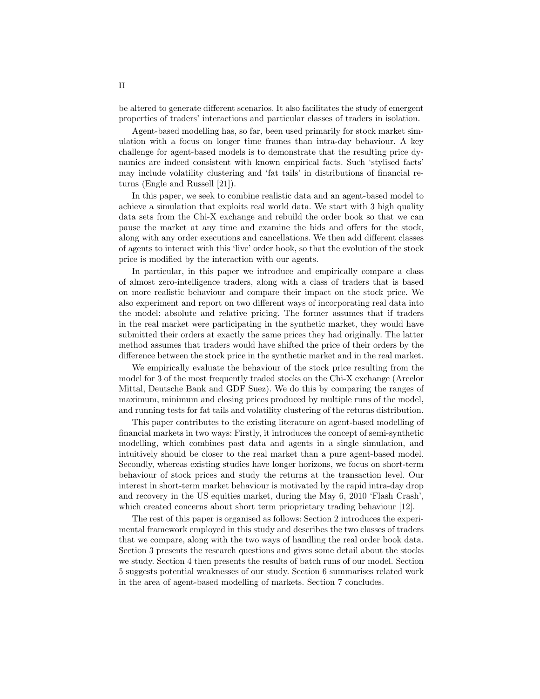be altered to generate different scenarios. It also facilitates the study of emergent properties of traders' interactions and particular classes of traders in isolation.

Agent-based modelling has, so far, been used primarily for stock market simulation with a focus on longer time frames than intra-day behaviour. A key challenge for agent-based models is to demonstrate that the resulting price dynamics are indeed consistent with known empirical facts. Such 'stylised facts' may include volatility clustering and 'fat tails' in distributions of financial returns (Engle and Russell [21]).

In this paper, we seek to combine realistic data and an agent-based model to achieve a simulation that exploits real world data. We start with 3 high quality data sets from the Chi-X exchange and rebuild the order book so that we can pause the market at any time and examine the bids and offers for the stock, along with any order executions and cancellations. We then add different classes of agents to interact with this 'live' order book, so that the evolution of the stock price is modified by the interaction with our agents.

In particular, in this paper we introduce and empirically compare a class of almost zero-intelligence traders, along with a class of traders that is based on more realistic behaviour and compare their impact on the stock price. We also experiment and report on two different ways of incorporating real data into the model: absolute and relative pricing. The former assumes that if traders in the real market were participating in the synthetic market, they would have submitted their orders at exactly the same prices they had originally. The latter method assumes that traders would have shifted the price of their orders by the difference between the stock price in the synthetic market and in the real market.

We empirically evaluate the behaviour of the stock price resulting from the model for 3 of the most frequently traded stocks on the Chi-X exchange (Arcelor Mittal, Deutsche Bank and GDF Suez). We do this by comparing the ranges of maximum, minimum and closing prices produced by multiple runs of the model, and running tests for fat tails and volatility clustering of the returns distribution.

This paper contributes to the existing literature on agent-based modelling of financial markets in two ways: Firstly, it introduces the concept of semi-synthetic modelling, which combines past data and agents in a single simulation, and intuitively should be closer to the real market than a pure agent-based model. Secondly, whereas existing studies have longer horizons, we focus on short-term behaviour of stock prices and study the returns at the transaction level. Our interest in short-term market behaviour is motivated by the rapid intra-day drop and recovery in the US equities market, during the May 6, 2010 'Flash Crash', which created concerns about short term prioprietary trading behaviour [12].

The rest of this paper is organised as follows: Section 2 introduces the experimental framework employed in this study and describes the two classes of traders that we compare, along with the two ways of handling the real order book data. Section 3 presents the research questions and gives some detail about the stocks we study. Section 4 then presents the results of batch runs of our model. Section 5 suggests potential weaknesses of our study. Section 6 summarises related work in the area of agent-based modelling of markets. Section 7 concludes.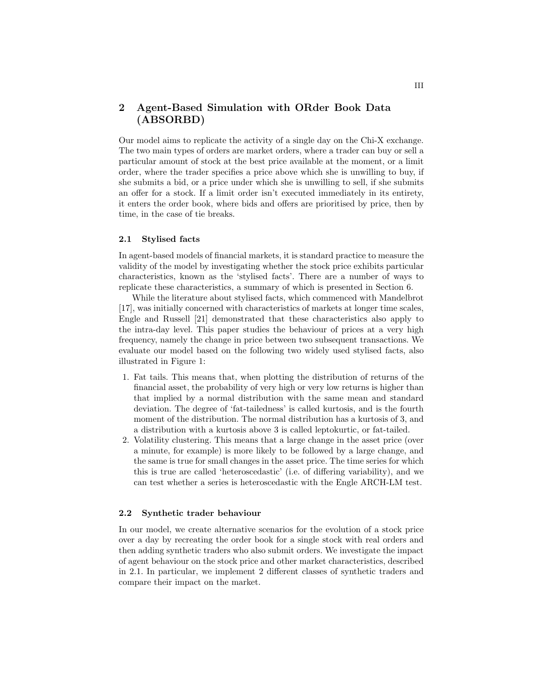## 2 Agent-Based Simulation with ORder Book Data (ABSORBD)

Our model aims to replicate the activity of a single day on the Chi-X exchange. The two main types of orders are market orders, where a trader can buy or sell a particular amount of stock at the best price available at the moment, or a limit order, where the trader specifies a price above which she is unwilling to buy, if she submits a bid, or a price under which she is unwilling to sell, if she submits an offer for a stock. If a limit order isn't executed immediately in its entirety, it enters the order book, where bids and offers are prioritised by price, then by time, in the case of tie breaks.

#### 2.1 Stylised facts

In agent-based models of financial markets, it is standard practice to measure the validity of the model by investigating whether the stock price exhibits particular characteristics, known as the 'stylised facts'. There are a number of ways to replicate these characteristics, a summary of which is presented in Section 6.

While the literature about stylised facts, which commenced with Mandelbrot [17], was initially concerned with characteristics of markets at longer time scales, Engle and Russell [21] demonstrated that these characteristics also apply to the intra-day level. This paper studies the behaviour of prices at a very high frequency, namely the change in price between two subsequent transactions. We evaluate our model based on the following two widely used stylised facts, also illustrated in Figure 1:

- 1. Fat tails. This means that, when plotting the distribution of returns of the financial asset, the probability of very high or very low returns is higher than that implied by a normal distribution with the same mean and standard deviation. The degree of 'fat-tailedness' is called kurtosis, and is the fourth moment of the distribution. The normal distribution has a kurtosis of 3, and a distribution with a kurtosis above 3 is called leptokurtic, or fat-tailed.
- 2. Volatility clustering. This means that a large change in the asset price (over a minute, for example) is more likely to be followed by a large change, and the same is true for small changes in the asset price. The time series for which this is true are called 'heteroscedastic' (i.e. of differing variability), and we can test whether a series is heteroscedastic with the Engle ARCH-LM test.

#### 2.2 Synthetic trader behaviour

In our model, we create alternative scenarios for the evolution of a stock price over a day by recreating the order book for a single stock with real orders and then adding synthetic traders who also submit orders. We investigate the impact of agent behaviour on the stock price and other market characteristics, described in 2.1. In particular, we implement 2 different classes of synthetic traders and compare their impact on the market.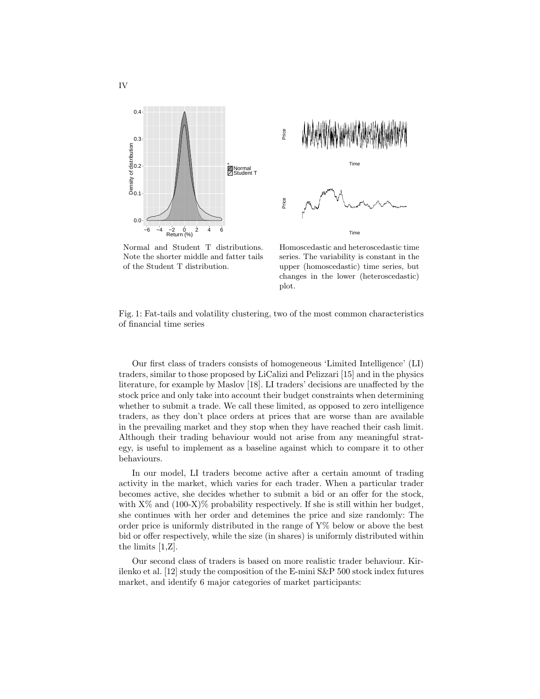



Normal and Student T distributions. Note the shorter middle and fatter tails of the Student T distribution.

Homoscedastic and heteroscedastic time series. The variability is constant in the upper (homoscedastic) time series, but changes in the lower (heteroscedastic) plot.

Fig. 1: Fat-tails and volatility clustering, two of the most common characteristics of financial time series

Our first class of traders consists of homogeneous 'Limited Intelligence' (LI) traders, similar to those proposed by LiCalizi and Pelizzari [15] and in the physics literature, for example by Maslov [18]. LI traders' decisions are unaffected by the stock price and only take into account their budget constraints when determining whether to submit a trade. We call these limited, as opposed to zero intelligence traders, as they don't place orders at prices that are worse than are available in the prevailing market and they stop when they have reached their cash limit. Although their trading behaviour would not arise from any meaningful strategy, is useful to implement as a baseline against which to compare it to other behaviours.

In our model, LI traders become active after a certain amount of trading activity in the market, which varies for each trader. When a particular trader becomes active, she decides whether to submit a bid or an offer for the stock, with  $X\%$  and  $(100-X)\%$  probability respectively. If she is still within her budget, she continues with her order and detemines the price and size randomly: The order price is uniformly distributed in the range of Y% below or above the best bid or offer respectively, while the size (in shares) is uniformly distributed within the limits [1,Z].

Our second class of traders is based on more realistic trader behaviour. Kirilenko et al. [12] study the composition of the E-mini S&P 500 stock index futures market, and identify 6 major categories of market participants: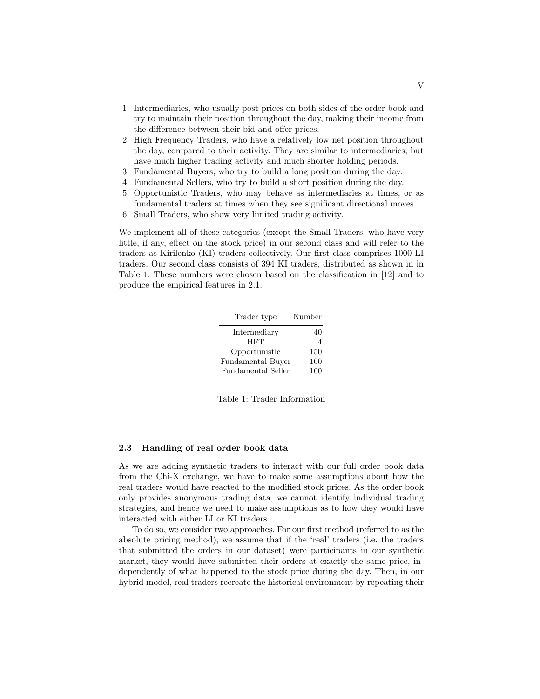- 1. Intermediaries, who usually post prices on both sides of the order book and try to maintain their position throughout the day, making their income from the difference between their bid and offer prices.
- 2. High Frequency Traders, who have a relatively low net position throughout the day, compared to their activity. They are similar to intermediaries, but have much higher trading activity and much shorter holding periods.
- 3. Fundamental Buyers, who try to build a long position during the day.
- 4. Fundamental Sellers, who try to build a short position during the day.
- 5. Opportunistic Traders, who may behave as intermediaries at times, or as fundamental traders at times when they see significant directional moves.
- 6. Small Traders, who show very limited trading activity.

We implement all of these categories (except the Small Traders, who have very little, if any, effect on the stock price) in our second class and will refer to the traders as Kirilenko (KI) traders collectively. Our first class comprises 1000 LI traders. Our second class consists of 394 KI traders, distributed as shown in in Table 1. These numbers were chosen based on the classification in [12] and to produce the empirical features in 2.1.

| Trader type               | Number |
|---------------------------|--------|
| Intermediary              | 40     |
| <b>HFT</b>                | 4      |
| Opportunistic             | 150    |
| <b>Fundamental Buyer</b>  | 100    |
| <b>Fundamental Seller</b> | 100    |

Table 1: Trader Information

#### 2.3 Handling of real order book data

As we are adding synthetic traders to interact with our full order book data from the Chi-X exchange, we have to make some assumptions about how the real traders would have reacted to the modified stock prices. As the order book only provides anonymous trading data, we cannot identify individual trading strategies, and hence we need to make assumptions as to how they would have interacted with either LI or KI traders.

To do so, we consider two approaches. For our first method (referred to as the absolute pricing method), we assume that if the 'real' traders (i.e. the traders that submitted the orders in our dataset) were participants in our synthetic market, they would have submitted their orders at exactly the same price, independently of what happened to the stock price during the day. Then, in our hybrid model, real traders recreate the historical environment by repeating their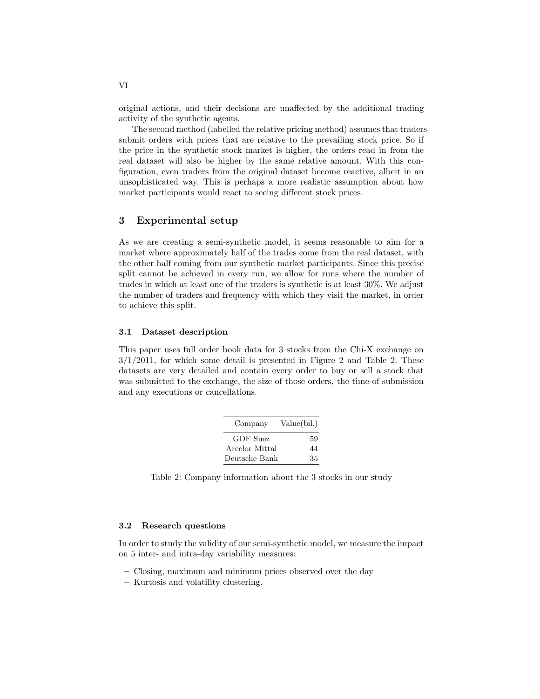original actions, and their decisions are unaffected by the additional trading activity of the synthetic agents.

The second method (labelled the relative pricing method) assumes that traders submit orders with prices that are relative to the prevailing stock price. So if the price in the synthetic stock market is higher, the orders read in from the real dataset will also be higher by the same relative amount. With this configuration, even traders from the original dataset become reactive, albeit in an unsophisticated way. This is perhaps a more realistic assumption about how market participants would react to seeing different stock prices.

#### 3 Experimental setup

As we are creating a semi-synthetic model, it seems reasonable to aim for a market where approximately half of the trades come from the real dataset, with the other half coming from our synthetic market participants. Since this precise split cannot be achieved in every run, we allow for runs where the number of trades in which at least one of the traders is synthetic is at least 30%. We adjust the number of traders and frequency with which they visit the market, in order to achieve this split.

#### 3.1 Dataset description

This paper uses full order book data for 3 stocks from the Chi-X exchange on  $3/1/2011$ , for which some detail is presented in Figure 2 and Table 2. These datasets are very detailed and contain every order to buy or sell a stock that was submitted to the exchange, the size of those orders, the time of submission and any executions or cancellations.

| Company        | Value(bil.) |  |
|----------------|-------------|--|
| GDF Suez       | 59          |  |
| Arcelor Mittal | 44          |  |
| Deutsche Bank  | 35          |  |

Table 2: Company information about the 3 stocks in our study

#### 3.2 Research questions

In order to study the validity of our semi-synthetic model, we measure the impact on 5 inter- and intra-day variability measures:

- Closing, maximum and minimum prices observed over the day
- Kurtosis and volatility clustering.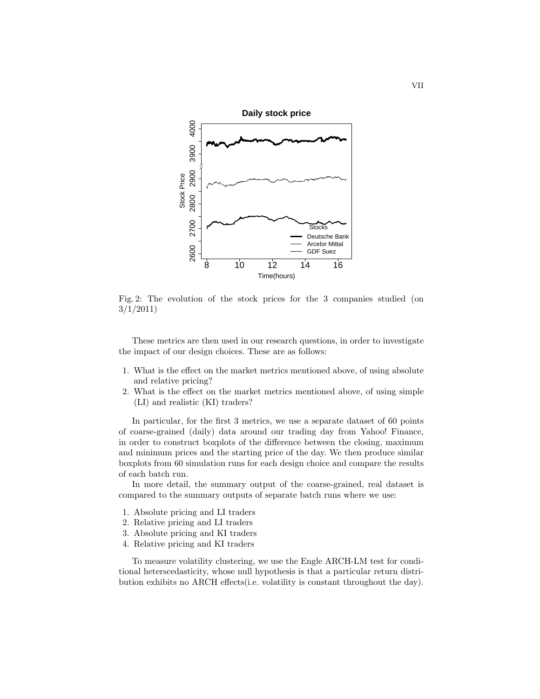

Fig. 2: The evolution of the stock prices for the 3 companies studied (on 3/1/2011)

These metrics are then used in our research questions, in order to investigate the impact of our design choices. These are as follows:

- 1. What is the effect on the market metrics mentioned above, of using absolute and relative pricing?
- 2. What is the effect on the market metrics mentioned above, of using simple (LI) and realistic (KI) traders?

In particular, for the first 3 metrics, we use a separate dataset of 60 points of coarse-grained (daily) data around our trading day from Yahoo! Finance, in order to construct boxplots of the difference between the closing, maximum and minimum prices and the starting price of the day. We then produce similar boxplots from 60 simulation runs for each design choice and compare the results of each batch run.

In more detail, the summary output of the coarse-grained, real dataset is compared to the summary outputs of separate batch runs where we use:

- 1. Absolute pricing and LI traders
- 2. Relative pricing and LI traders
- 3. Absolute pricing and KI traders
- 4. Relative pricing and KI traders

To measure volatility clustering, we use the Engle ARCH-LM test for conditional heterscedasticity, whose null hypothesis is that a particular return distribution exhibits no ARCH effects(i.e. volatility is constant throughout the day).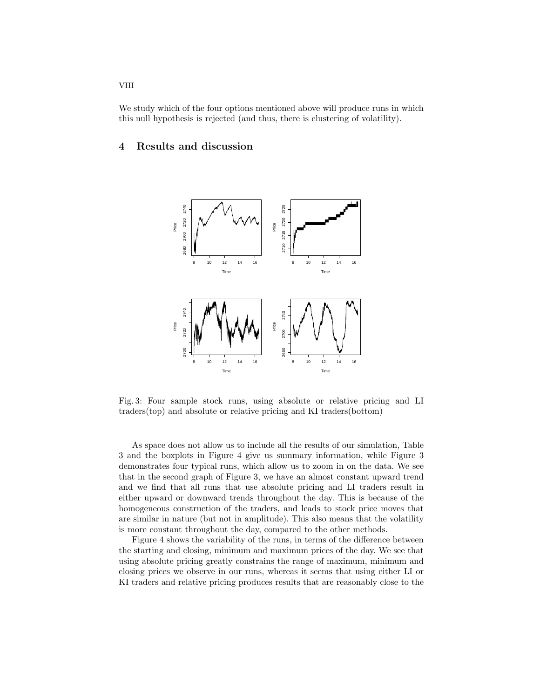We study which of the four options mentioned above will produce runs in which this null hypothesis is rejected (and thus, there is clustering of volatility).

## 4 Results and discussion



Fig. 3: Four sample stock runs, using absolute or relative pricing and LI traders(top) and absolute or relative pricing and KI traders(bottom)

As space does not allow us to include all the results of our simulation, Table 3 and the boxplots in Figure 4 give us summary information, while Figure 3 demonstrates four typical runs, which allow us to zoom in on the data. We see that in the second graph of Figure 3, we have an almost constant upward trend and we find that all runs that use absolute pricing and LI traders result in either upward or downward trends throughout the day. This is because of the homogeneous construction of the traders, and leads to stock price moves that are similar in nature (but not in amplitude). This also means that the volatility is more constant throughout the day, compared to the other methods.

Figure 4 shows the variability of the runs, in terms of the difference between the starting and closing, minimum and maximum prices of the day. We see that using absolute pricing greatly constrains the range of maximum, minimum and closing prices we observe in our runs, whereas it seems that using either LI or KI traders and relative pricing produces results that are reasonably close to the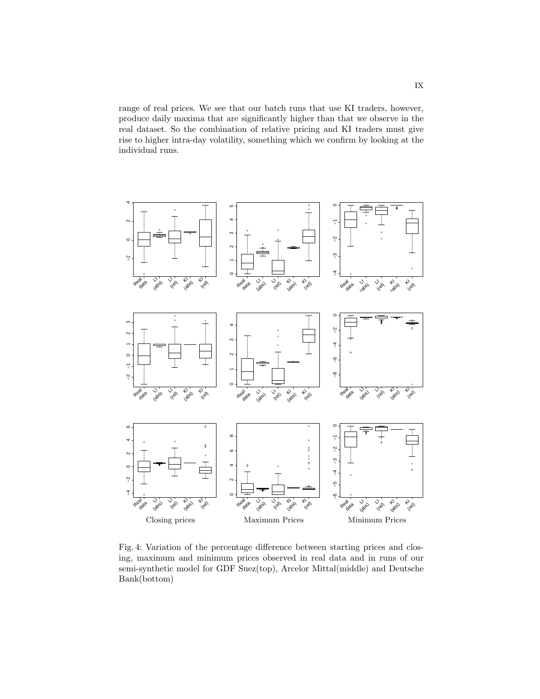range of real prices. We see that our batch runs that use KI traders, however, produce daily maxima that are significantly higher than that we observe in the real dataset. So the combination of relative pricing and KI traders must give rise to higher intra-day volatility, something which we confirm by looking at the individual runs.



Fig. 4: Variation of the percentage difference between starting prices and closing, maximum and minimum prices observed in real data and in runs of our semi-synthetic model for GDF Suez(top), Arcelor Mittal(middle) and Deutsche Bank(bottom)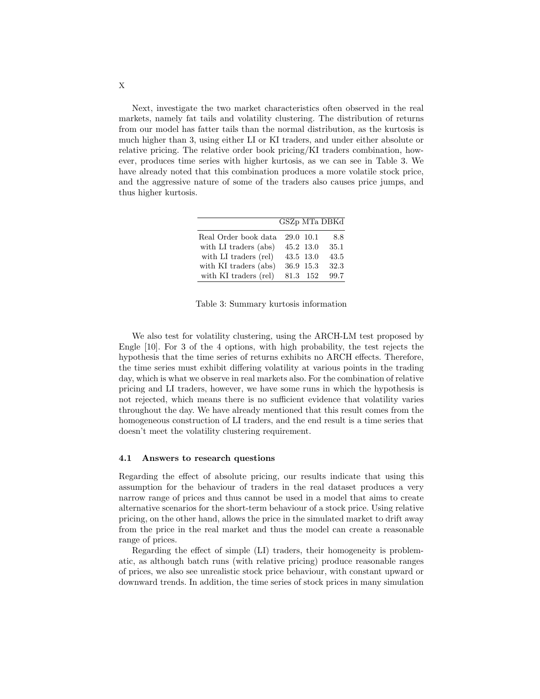Next, investigate the two market characteristics often observed in the real markets, namely fat tails and volatility clustering. The distribution of returns from our model has fatter tails than the normal distribution, as the kurtosis is much higher than 3, using either LI or KI traders, and under either absolute or relative pricing. The relative order book pricing/KI traders combination, however, produces time series with higher kurtosis, as we can see in Table 3. We have already noted that this combination produces a more volatile stock price, and the aggressive nature of some of the traders also causes price jumps, and thus higher kurtosis.

|                       |           | GSZp MTa DBKd |
|-----------------------|-----------|---------------|
| Real Order book data  | 29.0 10.1 | 8.8           |
| with LI traders (abs) | 45.2 13.0 | 35.1          |
| with LI traders (rel) | 43.5 13.0 | 43.5          |
| with KI traders (abs) | 36.9 15.3 | 32.3          |
| with KI traders (rel) | 81.3 152  | 99.7          |

Table 3: Summary kurtosis information

We also test for volatility clustering, using the ARCH-LM test proposed by Engle [10]. For 3 of the 4 options, with high probability, the test rejects the hypothesis that the time series of returns exhibits no ARCH effects. Therefore, the time series must exhibit differing volatility at various points in the trading day, which is what we observe in real markets also. For the combination of relative pricing and LI traders, however, we have some runs in which the hypothesis is not rejected, which means there is no sufficient evidence that volatility varies throughout the day. We have already mentioned that this result comes from the homogeneous construction of LI traders, and the end result is a time series that doesn't meet the volatility clustering requirement.

#### 4.1 Answers to research questions

Regarding the effect of absolute pricing, our results indicate that using this assumption for the behaviour of traders in the real dataset produces a very narrow range of prices and thus cannot be used in a model that aims to create alternative scenarios for the short-term behaviour of a stock price. Using relative pricing, on the other hand, allows the price in the simulated market to drift away from the price in the real market and thus the model can create a reasonable range of prices.

Regarding the effect of simple (LI) traders, their homogeneity is problematic, as although batch runs (with relative pricing) produce reasonable ranges of prices, we also see unrealistic stock price behaviour, with constant upward or downward trends. In addition, the time series of stock prices in many simulation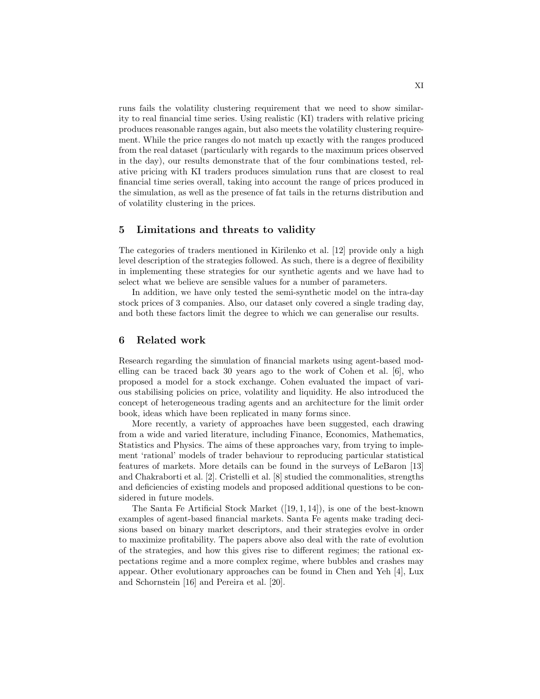runs fails the volatility clustering requirement that we need to show similarity to real financial time series. Using realistic (KI) traders with relative pricing produces reasonable ranges again, but also meets the volatility clustering requirement. While the price ranges do not match up exactly with the ranges produced from the real dataset (particularly with regards to the maximum prices observed in the day), our results demonstrate that of the four combinations tested, relative pricing with KI traders produces simulation runs that are closest to real financial time series overall, taking into account the range of prices produced in the simulation, as well as the presence of fat tails in the returns distribution and of volatility clustering in the prices.

#### 5 Limitations and threats to validity

The categories of traders mentioned in Kirilenko et al. [12] provide only a high level description of the strategies followed. As such, there is a degree of flexibility in implementing these strategies for our synthetic agents and we have had to select what we believe are sensible values for a number of parameters.

In addition, we have only tested the semi-synthetic model on the intra-day stock prices of 3 companies. Also, our dataset only covered a single trading day, and both these factors limit the degree to which we can generalise our results.

## 6 Related work

Research regarding the simulation of financial markets using agent-based modelling can be traced back 30 years ago to the work of Cohen et al. [6], who proposed a model for a stock exchange. Cohen evaluated the impact of various stabilising policies on price, volatility and liquidity. He also introduced the concept of heterogeneous trading agents and an architecture for the limit order book, ideas which have been replicated in many forms since.

More recently, a variety of approaches have been suggested, each drawing from a wide and varied literature, including Finance, Economics, Mathematics, Statistics and Physics. The aims of these approaches vary, from trying to implement 'rational' models of trader behaviour to reproducing particular statistical features of markets. More details can be found in the surveys of LeBaron [13] and Chakraborti et al. [2]. Cristelli et al. [8] studied the commonalities, strengths and deficiencies of existing models and proposed additional questions to be considered in future models.

The Santa Fe Artificial Stock Market  $([19, 1, 14])$ , is one of the best-known examples of agent-based financial markets. Santa Fe agents make trading decisions based on binary market descriptors, and their strategies evolve in order to maximize profitability. The papers above also deal with the rate of evolution of the strategies, and how this gives rise to different regimes; the rational expectations regime and a more complex regime, where bubbles and crashes may appear. Other evolutionary approaches can be found in Chen and Yeh [4], Lux and Schornstein [16] and Pereira et al. [20].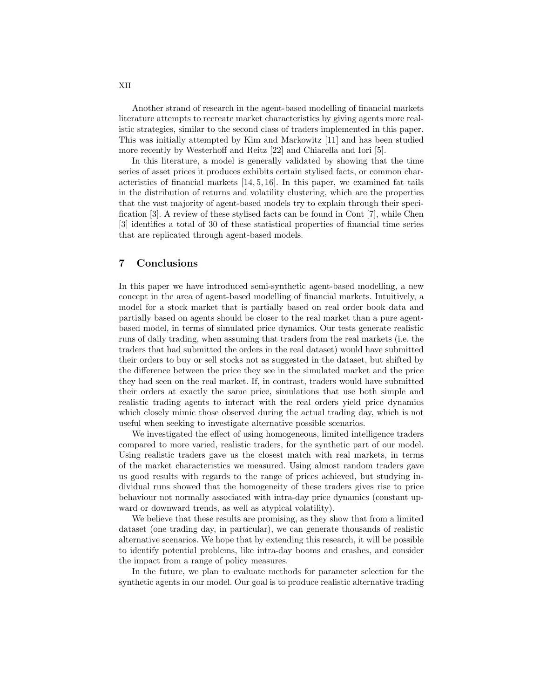Another strand of research in the agent-based modelling of financial markets literature attempts to recreate market characteristics by giving agents more realistic strategies, similar to the second class of traders implemented in this paper. This was initially attempted by Kim and Markowitz [11] and has been studied more recently by Westerhoff and Reitz [22] and Chiarella and Iori [5].

In this literature, a model is generally validated by showing that the time series of asset prices it produces exhibits certain stylised facts, or common characteristics of financial markets [14, 5, 16]. In this paper, we examined fat tails in the distribution of returns and volatility clustering, which are the properties that the vast majority of agent-based models try to explain through their specification [3]. A review of these stylised facts can be found in Cont [7], while Chen [3] identifies a total of 30 of these statistical properties of financial time series that are replicated through agent-based models.

## 7 Conclusions

In this paper we have introduced semi-synthetic agent-based modelling, a new concept in the area of agent-based modelling of financial markets. Intuitively, a model for a stock market that is partially based on real order book data and partially based on agents should be closer to the real market than a pure agentbased model, in terms of simulated price dynamics. Our tests generate realistic runs of daily trading, when assuming that traders from the real markets (i.e. the traders that had submitted the orders in the real dataset) would have submitted their orders to buy or sell stocks not as suggested in the dataset, but shifted by the difference between the price they see in the simulated market and the price they had seen on the real market. If, in contrast, traders would have submitted their orders at exactly the same price, simulations that use both simple and realistic trading agents to interact with the real orders yield price dynamics which closely mimic those observed during the actual trading day, which is not useful when seeking to investigate alternative possible scenarios.

We investigated the effect of using homogeneous, limited intelligence traders compared to more varied, realistic traders, for the synthetic part of our model. Using realistic traders gave us the closest match with real markets, in terms of the market characteristics we measured. Using almost random traders gave us good results with regards to the range of prices achieved, but studying individual runs showed that the homogeneity of these traders gives rise to price behaviour not normally associated with intra-day price dynamics (constant upward or downward trends, as well as atypical volatility).

We believe that these results are promising, as they show that from a limited dataset (one trading day, in particular), we can generate thousands of realistic alternative scenarios. We hope that by extending this research, it will be possible to identify potential problems, like intra-day booms and crashes, and consider the impact from a range of policy measures.

In the future, we plan to evaluate methods for parameter selection for the synthetic agents in our model. Our goal is to produce realistic alternative trading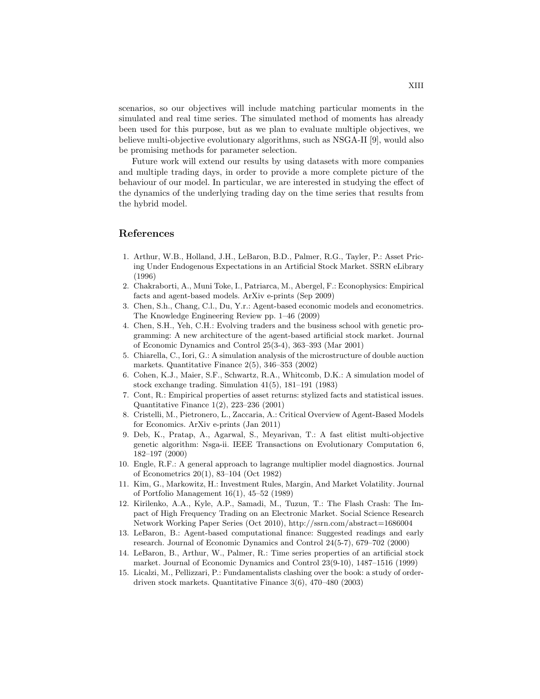scenarios, so our objectives will include matching particular moments in the simulated and real time series. The simulated method of moments has already been used for this purpose, but as we plan to evaluate multiple objectives, we believe multi-objective evolutionary algorithms, such as NSGA-II [9], would also be promising methods for parameter selection.

Future work will extend our results by using datasets with more companies and multiple trading days, in order to provide a more complete picture of the behaviour of our model. In particular, we are interested in studying the effect of the dynamics of the underlying trading day on the time series that results from the hybrid model.

#### References

- 1. Arthur, W.B., Holland, J.H., LeBaron, B.D., Palmer, R.G., Tayler, P.: Asset Pricing Under Endogenous Expectations in an Artificial Stock Market. SSRN eLibrary (1996)
- 2. Chakraborti, A., Muni Toke, I., Patriarca, M., Abergel, F.: Econophysics: Empirical facts and agent-based models. ArXiv e-prints (Sep 2009)
- 3. Chen, S.h., Chang, C.l., Du, Y.r.: Agent-based economic models and econometrics. The Knowledge Engineering Review pp. 1–46 (2009)
- 4. Chen, S.H., Yeh, C.H.: Evolving traders and the business school with genetic programming: A new architecture of the agent-based artificial stock market. Journal of Economic Dynamics and Control 25(3-4), 363–393 (Mar 2001)
- 5. Chiarella, C., Iori, G.: A simulation analysis of the microstructure of double auction markets. Quantitative Finance 2(5), 346–353 (2002)
- 6. Cohen, K.J., Maier, S.F., Schwartz, R.A., Whitcomb, D.K.: A simulation model of stock exchange trading. Simulation 41(5), 181–191 (1983)
- 7. Cont, R.: Empirical properties of asset returns: stylized facts and statistical issues. Quantitative Finance 1(2), 223–236 (2001)
- 8. Cristelli, M., Pietronero, L., Zaccaria, A.: Critical Overview of Agent-Based Models for Economics. ArXiv e-prints (Jan 2011)
- 9. Deb, K., Pratap, A., Agarwal, S., Meyarivan, T.: A fast elitist multi-objective genetic algorithm: Nsga-ii. IEEE Transactions on Evolutionary Computation 6, 182–197 (2000)
- 10. Engle, R.F.: A general approach to lagrange multiplier model diagnostics. Journal of Econometrics 20(1), 83–104 (Oct 1982)
- 11. Kim, G., Markowitz, H.: Investment Rules, Margin, And Market Volatility. Journal of Portfolio Management 16(1), 45–52 (1989)
- 12. Kirilenko, A.A., Kyle, A.P., Samadi, M., Tuzun, T.: The Flash Crash: The Impact of High Frequency Trading on an Electronic Market. Social Science Research Network Working Paper Series (Oct 2010), http://ssrn.com/abstract=1686004
- 13. LeBaron, B.: Agent-based computational finance: Suggested readings and early research. Journal of Economic Dynamics and Control 24(5-7), 679–702 (2000)
- 14. LeBaron, B., Arthur, W., Palmer, R.: Time series properties of an artificial stock market. Journal of Economic Dynamics and Control 23(9-10), 1487–1516 (1999)
- 15. Licalzi, M., Pellizzari, P.: Fundamentalists clashing over the book: a study of orderdriven stock markets. Quantitative Finance 3(6), 470–480 (2003)